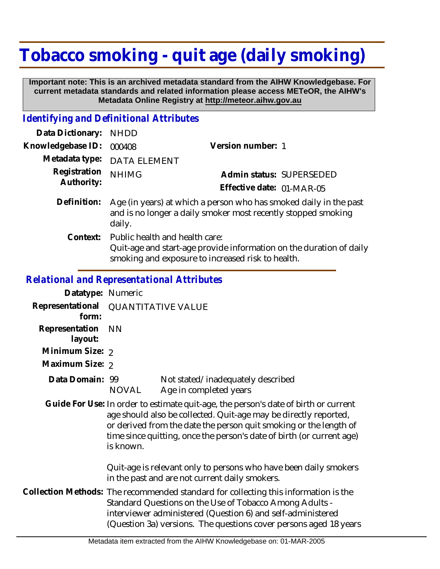## **Tobacco smoking - quit age (daily smoking)**

 **Important note: This is an archived metadata standard from the AIHW Knowledgebase. For current metadata standards and related information please access METeOR, the AIHW's Metadata Online Registry at http://meteor.aihw.gov.au**

## *Identifying and Definitional Attributes*

| Data Dictionary:           | <b>NHDD</b>                                                                                                                                                |                           |
|----------------------------|------------------------------------------------------------------------------------------------------------------------------------------------------------|---------------------------|
| Knowledgebase ID:          | 000408                                                                                                                                                     | Version number: 1         |
| Metadata type:             | <b>DATA ELEMENT</b>                                                                                                                                        |                           |
| Registration<br>Authority: | <b>NHIMG</b>                                                                                                                                               | Admin status: SUPERSEDED  |
|                            |                                                                                                                                                            | Effective date: 01-MAR-05 |
| Definition:                | Age (in years) at which a person who has smoked daily in the past<br>and is no longer a daily smoker most recently stopped smoking<br>daily.               |                           |
| Context:                   | Public health and health care:<br>Quit-age and start-age provide information on the duration of daily<br>smoking and exposure to increased risk to health. |                           |
|                            |                                                                                                                                                            |                           |

## *Relational and Representational Attributes*

| Datatype: Numeric         |                                                                                                                                                                                                                                                                                                                    |                                                             |
|---------------------------|--------------------------------------------------------------------------------------------------------------------------------------------------------------------------------------------------------------------------------------------------------------------------------------------------------------------|-------------------------------------------------------------|
| Representational<br>form: | <b>QUANTITATIVE VALUE</b>                                                                                                                                                                                                                                                                                          |                                                             |
| Representation<br>layout: | <b>NN</b>                                                                                                                                                                                                                                                                                                          |                                                             |
| Minimum Size: 2           |                                                                                                                                                                                                                                                                                                                    |                                                             |
| Maximum Size: 2           |                                                                                                                                                                                                                                                                                                                    |                                                             |
| Data Domain: 99           | NOVAL                                                                                                                                                                                                                                                                                                              | Not stated/inadequately described<br>Age in completed years |
|                           | Guide For Use: In order to estimate quit-age, the person's date of birth or current<br>age should also be collected. Quit-age may be directly reported,<br>or derived from the date the person quit smoking or the length of<br>time since quitting, once the person's date of birth (or current age)<br>is known. |                                                             |
|                           | Quit-age is relevant only to persons who have been daily smokers<br>in the past and are not current daily smokers.                                                                                                                                                                                                 |                                                             |
|                           | Collection Methods: The recommended standard for collecting this information is the<br>Standard Questions on the Use of Tobacco Among Adults -<br>interviewer administered (Question 6) and self-administered<br>(Question 3a) versions. The questions cover persons aged 18 years                                 |                                                             |